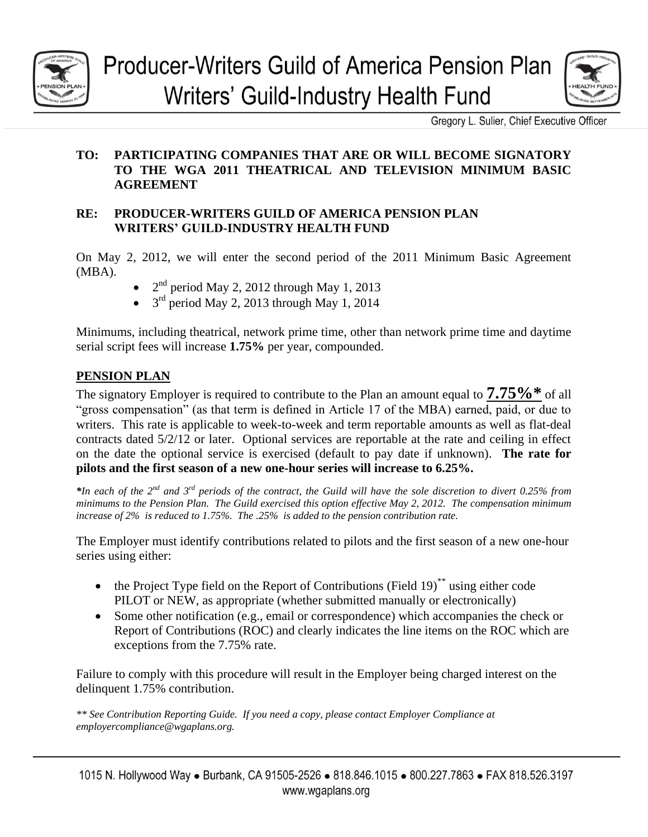

# **Producer-Writers Guild of America Pension Plan** Writers' Guild-Industry Health Fund



Gregory L. Sulier, Chief Executive Officer

# **TO: PARTICIPATING COMPANIES THAT ARE OR WILL BECOME SIGNATORY TO THE WGA 2011 THEATRICAL AND TELEVISION MINIMUM BASIC AGREEMENT**

#### **RE: PRODUCER-WRITERS GUILD OF AMERICA PENSION PLAN WRITERS' GUILD-INDUSTRY HEALTH FUND**

On May 2, 2012, we will enter the second period of the 2011 Minimum Basic Agreement (MBA).

- $2<sup>nd</sup>$  period May 2, 2012 through May 1, 2013
- $\bullet$  3<sup>rd</sup> period May 2, 2013 through May 1, 2014

Minimums, including theatrical, network prime time, other than network prime time and daytime serial script fees will increase **1.75%** per year, compounded.

# **PENSION PLAN**

The signatory Employer is required to contribute to the Plan an amount equal to  $7.75\%$  \* of all "gross compensation" (as that term is defined in Article 17 of the MBA) earned, paid, or due to writers. This rate is applicable to week-to-week and term reportable amounts as well as flat-deal contracts dated 5/2/12 or later. Optional services are reportable at the rate and ceiling in effect on the date the optional service is exercised (default to pay date if unknown). **The rate for pilots and the first season of a new one-hour series will increase to 6.25%.**

*\*In each of the 2nd and 3 rd periods of the contract, the Guild will have the sole discretion to divert 0.25% from minimums to the Pension Plan. The Guild exercised this option effective May 2, 2012. The compensation minimum increase of 2% is reduced to 1.75%. The .25% is added to the pension contribution rate.* 

The Employer must identify contributions related to pilots and the first season of a new one-hour series using either:

- $\bullet$  the Project Type field on the Report of Contributions (Field 19)<sup>\*\*</sup> using either code PILOT or NEW, as appropriate (whether submitted manually or electronically)
- Some other notification (e.g., email or correspondence) which accompanies the check or Report of Contributions (ROC) and clearly indicates the line items on the ROC which are exceptions from the 7.75% rate.

Failure to comply with this procedure will result in the Employer being charged interest on the delinquent 1.75% contribution.

*\*\* See Contribution Reporting Guide. If you need a copy, please contact Employer Compliance at employercompliance@wgaplans.org.*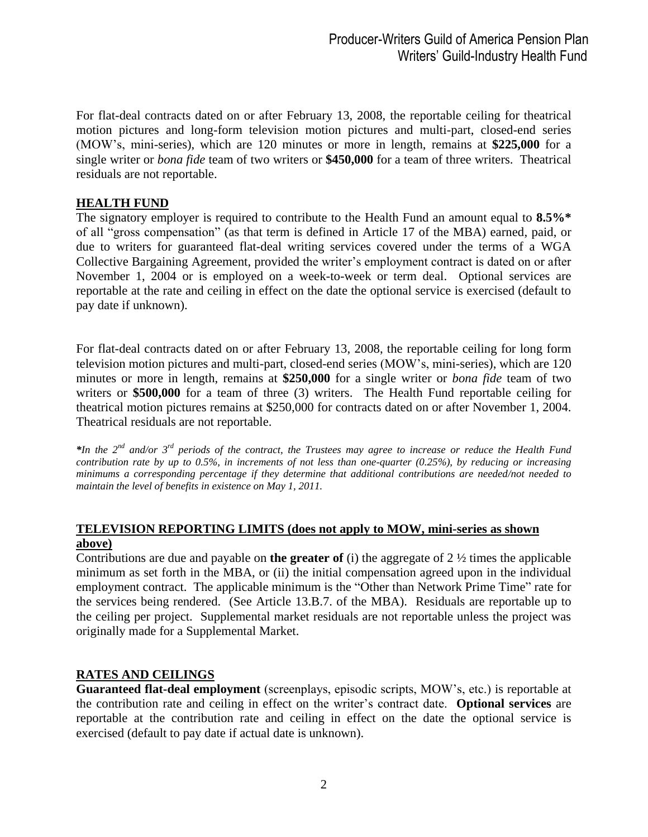For flat-deal contracts dated on or after February 13, 2008, the reportable ceiling for theatrical motion pictures and long-form television motion pictures and multi-part, closed-end series (MOW's, mini-series), which are 120 minutes or more in length, remains at **\$225,000** for a single writer or *bona fide* team of two writers or **\$450,000** for a team of three writers. Theatrical residuals are not reportable.

#### **HEALTH FUND**

The signatory employer is required to contribute to the Health Fund an amount equal to **8.5%\*** of all "gross compensation" (as that term is defined in Article 17 of the MBA) earned, paid, or due to writers for guaranteed flat-deal writing services covered under the terms of a WGA Collective Bargaining Agreement, provided the writer's employment contract is dated on or after November 1, 2004 or is employed on a week-to-week or term deal. Optional services are reportable at the rate and ceiling in effect on the date the optional service is exercised (default to pay date if unknown).

For flat-deal contracts dated on or after February 13, 2008, the reportable ceiling for long form television motion pictures and multi-part, closed-end series (MOW's, mini-series), which are 120 minutes or more in length, remains at **\$250,000** for a single writer or *bona fide* team of two writers or \$500,000 for a team of three (3) writers. The Health Fund reportable ceiling for theatrical motion pictures remains at \$250,000 for contracts dated on or after November 1, 2004. Theatrical residuals are not reportable.

\**In the 2<sup>nd</sup> and/or 3<sup>rd</sup> periods of the contract, the Trustees may agree to increase or reduce the Health Fund contribution rate by up to 0.5%, in increments of not less than one-quarter (0.25%), by reducing or increasing minimums a corresponding percentage if they determine that additional contributions are needed/not needed to maintain the level of benefits in existence on May 1, 2011.* 

#### **TELEVISION REPORTING LIMITS (does not apply to MOW, mini-series as shown above)**

Contributions are due and payable on **the greater of** (i) the aggregate of 2 ½ times the applicable minimum as set forth in the MBA, or (ii) the initial compensation agreed upon in the individual employment contract. The applicable minimum is the "Other than Network Prime Time" rate for the services being rendered. (See Article 13.B.7. of the MBA). Residuals are reportable up to the ceiling per project. Supplemental market residuals are not reportable unless the project was originally made for a Supplemental Market.

## **RATES AND CEILINGS**

**Guaranteed flat-deal employment** (screenplays, episodic scripts, MOW's, etc.) is reportable at the contribution rate and ceiling in effect on the writer's contract date. **Optional services** are reportable at the contribution rate and ceiling in effect on the date the optional service is exercised (default to pay date if actual date is unknown).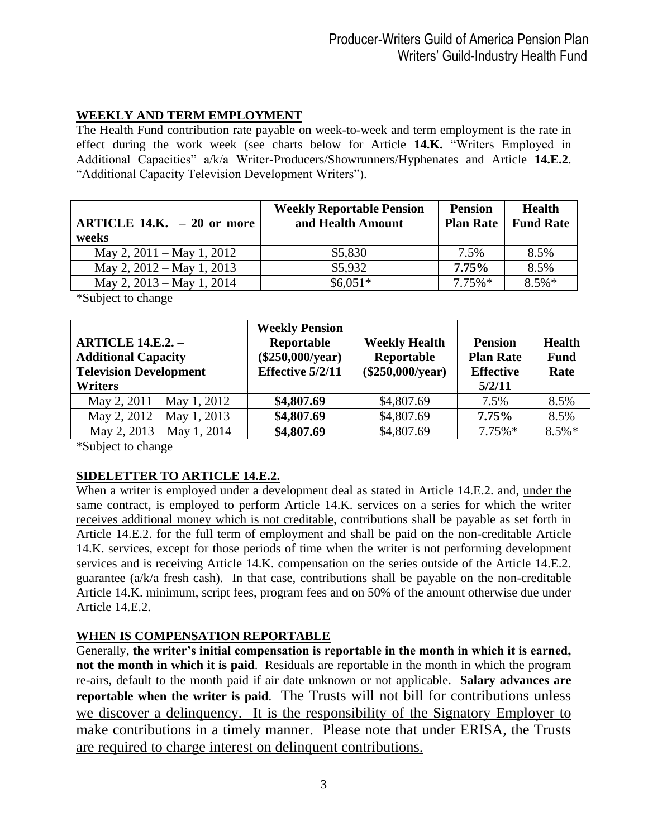# **WEEKLY AND TERM EMPLOYMENT**

The Health Fund contribution rate payable on week-to-week and term employment is the rate in effect during the work week (see charts below for Article **14.K.** "Writers Employed in Additional Capacities" a/k/a Writer-Producers/Showrunners/Hyphenates and Article **14.E.2**. "Additional Capacity Television Development Writers").

| ARTICLE 14.K. $-20$ or more<br>weeks | <b>Weekly Reportable Pension</b><br>and Health Amount | <b>Pension</b><br><b>Plan Rate</b> | <b>Health</b><br><b>Fund Rate</b> |
|--------------------------------------|-------------------------------------------------------|------------------------------------|-----------------------------------|
| May 2, $2011 -$ May 1, $2012$        | \$5,830                                               | 7.5%                               | 8.5%                              |
| May 2, $2012 -$ May 1, $2013$        | \$5,932                                               | $7.75\%$                           | 8.5%                              |
| May 2, 2013 – May 1, 2014            | $$6,051*$                                             | $7.75\%*$                          | $8.5\%*$                          |

\*Subject to change

| <b>ARTICLE 14.E.2. -</b><br><b>Additional Capacity</b><br><b>Television Development</b><br><b>Writers</b> | <b>Weekly Pension</b><br>Reportable<br>$(\$250,000/year)$<br>Effective 5/2/11 | <b>Weekly Health</b><br>Reportable<br>(\$250,000/year) | <b>Pension</b><br><b>Plan Rate</b><br><b>Effective</b><br>5/2/11 | <b>Health</b><br><b>Fund</b><br>Rate |
|-----------------------------------------------------------------------------------------------------------|-------------------------------------------------------------------------------|--------------------------------------------------------|------------------------------------------------------------------|--------------------------------------|
| May 2, $2011 -$ May 1, $2012$                                                                             | \$4,807.69                                                                    | \$4,807.69                                             | 7.5%                                                             | 8.5%                                 |
| May 2, 2012 – May 1, 2013                                                                                 | \$4,807.69                                                                    | \$4,807.69                                             | 7.75%                                                            | 8.5%                                 |
| May 2, 2013 – May 1, 2014                                                                                 | \$4,807.69                                                                    | \$4,807.69                                             | $7.75\%*$                                                        | $8.5\%*$                             |

\*Subject to change

## **SIDELETTER TO ARTICLE 14.E.2.**

When a writer is employed under a development deal as stated in Article 14.E.2. and, under the same contract, is employed to perform Article 14.K. services on a series for which the writer receives additional money which is not creditable, contributions shall be payable as set forth in Article 14.E.2. for the full term of employment and shall be paid on the non-creditable Article 14.K. services, except for those periods of time when the writer is not performing development services and is receiving Article 14.K. compensation on the series outside of the Article 14.E.2. guarantee (a/k/a fresh cash). In that case, contributions shall be payable on the non-creditable Article 14.K. minimum, script fees, program fees and on 50% of the amount otherwise due under Article 14.E.2.

## **WHEN IS COMPENSATION REPORTABLE**

Generally, **the writer's initial compensation is reportable in the month in which it is earned, not the month in which it is paid**. Residuals are reportable in the month in which the program re-airs, default to the month paid if air date unknown or not applicable. **Salary advances are reportable when the writer is paid**. The Trusts will not bill for contributions unless we discover a delinquency. It is the responsibility of the Signatory Employer to make contributions in a timely manner. Please note that under ERISA, the Trusts are required to charge interest on delinquent contributions.